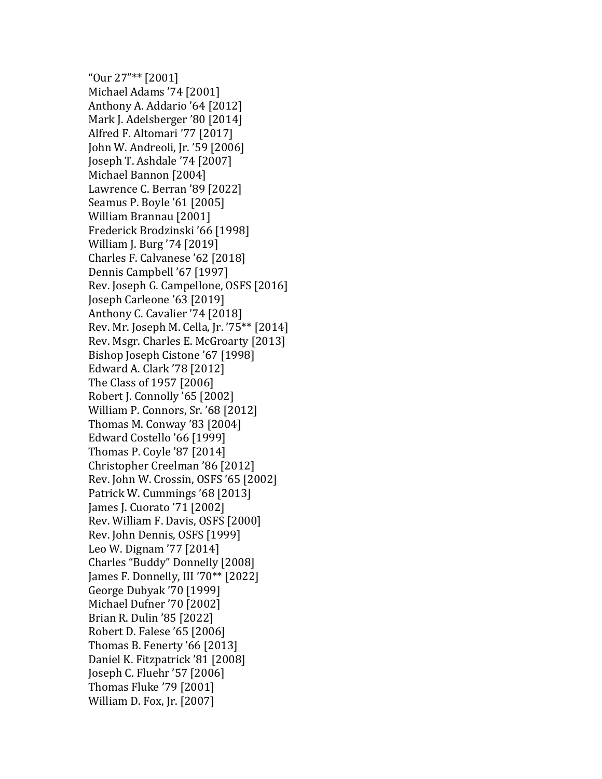"Our 27"\*\* [2001] Michael Adams '74 [2001] Anthony A. Addario '64 [2012] Mark J. Adelsberger '80 [2014] Alfred F. Altomari '77 [2017] John W. Andreoli, Jr. '59 [2006] Joseph T. Ashdale '74 [2007] Michael Bannon [2004] Lawrence C. Berran '89 [2022] Seamus P. Boyle '61 [2005] William Brannau [2001] Frederick Brodzinski '66 [1998] William J. Burg '74 [2019] Charles F. Calvanese '62 [2018] Dennis Campbell '67 [1997] Rev. Joseph G. Campellone, OSFS [2016] Joseph Carleone '63 [2019] Anthony C. Cavalier '74 [2018] Rev. Mr. Joseph M. Cella, Jr. '75\*\* [2014] Rev. Msgr. Charles E. McGroarty [2013] Bishop Joseph Cistone '67 [1998] Edward A. Clark '78 [2012] The Class of 1957 [2006] Robert J. Connolly '65 [2002] William P. Connors, Sr. '68 [2012] Thomas M. Conway '83 [2004] Edward Costello '66 [1999] Thomas P. Coyle '87 [2014] Christopher Creelman '86 [2012] Rev. John W. Crossin, OSFS '65 [2002] Patrick W. Cummings '68 [2013] James J. Cuorato '71 [2002] Rev. William F. Davis, OSFS [2000] Rev. John Dennis, OSFS [1999] Leo W. Dignam '77 [2014] Charles "Buddy" Donnelly [2008] James F. Donnelly, III '70\*\* [2022] George Dubyak '70 [1999] Michael Dufner '70 [2002] Brian R. Dulin '85 [2022] Robert D. Falese '65 [2006] Thomas B. Fenerty '66 [2013] Daniel K. Fitzpatrick '81 [2008] Joseph C. Fluehr '57 [2006] Thomas Fluke '79 [2001] William D. Fox, Jr. [2007]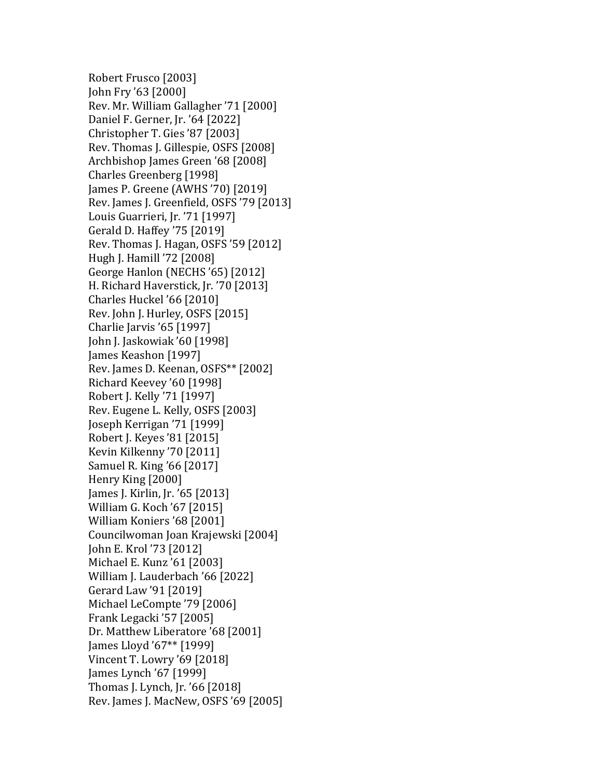Robert Frusco [2003] John Fry '63 [2000] Rev. Mr. William Gallagher '71 [2000] Daniel F. Gerner, Jr. '64 [2022] Christopher T. Gies '87 [2003] Rev. Thomas J. Gillespie, OSFS [2008] Archbishop James Green '68 [2008] Charles Greenberg [1998] James P. Greene (AWHS '70) [2019] Rev. James J. Greenfield, OSFS '79 [2013] Louis Guarrieri, Jr. '71 [1997] Gerald D. Haffey '75 [2019] Rev. Thomas J. Hagan, OSFS '59 [2012] Hugh J. Hamill '72 [2008] George Hanlon (NECHS '65) [2012] H. Richard Haverstick, Jr. '70 [2013] Charles Huckel '66 [2010] Rev. John J. Hurley, OSFS [2015] Charlie Jarvis '65 [1997] John J. Jaskowiak '60 [1998] James Keashon [1997] Rev. James D. Keenan, OSFS\*\* [2002] Richard Keevey '60 [1998] Robert J. Kelly '71 [1997] Rev. Eugene L. Kelly, OSFS [2003] Joseph Kerrigan '71 [1999] Robert J. Keyes '81 [2015] Kevin Kilkenny '70 [2011] Samuel R. King '66 [2017] Henry King [2000] James J. Kirlin, Jr. '65 [2013] William G. Koch '67 [2015] William Koniers '68 [2001] Councilwoman Joan Krajewski [2004] John E. Krol '73 [2012] Michael E. Kunz '61 [2003] William J. Lauderbach '66 [2022] Gerard Law '91 [2019] Michael LeCompte '79 [2006] Frank Legacki '57 [2005] Dr. Matthew Liberatore '68 [2001] James Lloyd '67\*\* [1999] Vincent T. Lowry '69 [2018] James Lynch '67 [1999] Thomas J. Lynch, Jr. '66 [2018] Rev. James J. MacNew, OSFS '69 [2005]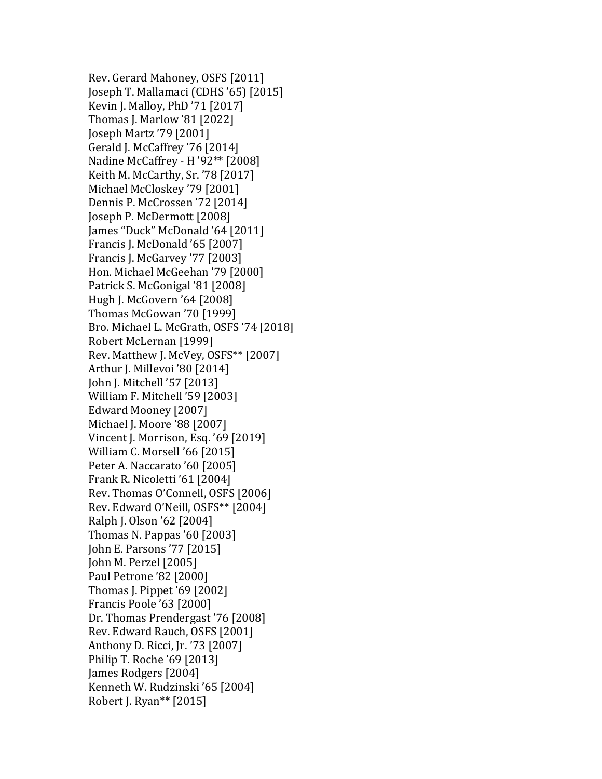Rev. Gerard Mahoney, OSFS [2011] Joseph T. Mallamaci (CDHS '65) [2015] Kevin J. Malloy, PhD '71 [2017] Thomas J. Marlow '81 [2022] Joseph Martz '79 [2001] Gerald J. McCaffrey '76 [2014] Nadine McCaffrey - H '92\*\* [2008] Keith M. McCarthy, Sr. '78 [2017] Michael McCloskey '79 [2001] Dennis P. McCrossen '72 [2014] Joseph P. McDermott [2008] James "Duck" McDonald '64 [2011] Francis J. McDonald '65 [2007] Francis J. McGarvey '77 [2003] Hon. Michael McGeehan '79 [2000] Patrick S. McGonigal '81 [2008] Hugh J. McGovern '64 [2008] Thomas McGowan '70 [1999] Bro. Michael L. McGrath, OSFS '74 [2018] Robert McLernan [1999] Rev. Matthew J. McVey, OSFS\*\* [2007] Arthur J. Millevoi '80 [2014] John J. Mitchell '57 [2013] William F. Mitchell '59 [2003] Edward Mooney [2007] Michael J. Moore '88 [2007] Vincent J. Morrison, Esq. '69 [2019] William C. Morsell '66 [2015] Peter A. Naccarato '60 [2005] Frank R. Nicoletti '61 [2004] Rev. Thomas O'Connell, OSFS [2006] Rev. Edward O'Neill, OSFS\*\* [2004] Ralph J. Olson '62 [2004] Thomas N. Pappas '60 [2003] John E. Parsons '77 [2015] John M. Perzel [2005] Paul Petrone '82 [2000] Thomas J. Pippet '69 [2002] Francis Poole '63 [2000] Dr. Thomas Prendergast '76 [2008] Rev. Edward Rauch, OSFS [2001] Anthony D. Ricci, Jr. '73 [2007] Philip T. Roche '69 [2013] James Rodgers [2004] Kenneth W. Rudzinski '65 [2004] Robert J. Ryan\*\* [2015]